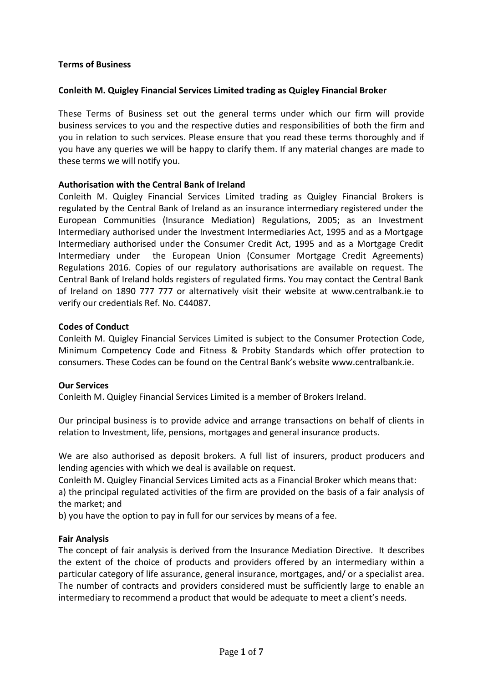# **Terms of Business**

# **Conleith M. Quigley Financial Services Limited trading as Quigley Financial Broker**

These Terms of Business set out the general terms under which our firm will provide business services to you and the respective duties and responsibilities of both the firm and you in relation to such services. Please ensure that you read these terms thoroughly and if you have any queries we will be happy to clarify them. If any material changes are made to these terms we will notify you.

# **Authorisation with the Central Bank of Ireland**

Conleith M. Quigley Financial Services Limited trading as Quigley Financial Brokers is regulated by the Central Bank of Ireland as an insurance intermediary registered under the European Communities (Insurance Mediation) Regulations, 2005; as an Investment Intermediary authorised under the Investment Intermediaries Act, 1995 and as a Mortgage Intermediary authorised under the Consumer Credit Act, 1995 and as a Mortgage Credit Intermediary under the European Union (Consumer Mortgage Credit Agreements) Regulations 2016. Copies of our regulatory authorisations are available on request. The Central Bank of Ireland holds registers of regulated firms. You may contact the Central Bank of Ireland on 1890 777 777 or alternatively visit their website at [www.centralbank.ie](http://www.centralbank.ie/) to verify our credentials Ref. No. C44087.

### **Codes of Conduct**

Conleith M. Quigley Financial Services Limited is subject to the Consumer Protection Code, Minimum Competency Code and Fitness & Probity Standards which offer protection to consumers. These Codes can be found on the Central Bank's website [www.centralbank.ie.](http://www.centralbank.ie/)

#### **Our Services**

Conleith M. Quigley Financial Services Limited is a member of Brokers Ireland.

Our principal business is to provide advice and arrange transactions on behalf of clients in relation to Investment, life, pensions, mortgages and general insurance products.

We are also authorised as deposit brokers. A full list of insurers, product producers and lending agencies with which we deal is available on request.

Conleith M. Quigley Financial Services Limited acts as a Financial Broker which means that:

a) the principal regulated activities of the firm are provided on the basis of a fair analysis of the market; and

b) you have the option to pay in full for our services by means of a fee.

#### **Fair Analysis**

The concept of fair analysis is derived from the Insurance Mediation Directive. It describes the extent of the choice of products and providers offered by an intermediary within a particular category of life assurance, general insurance, mortgages, and/ or a specialist area. The number of contracts and providers considered must be sufficiently large to enable an intermediary to recommend a product that would be adequate to meet a client's needs.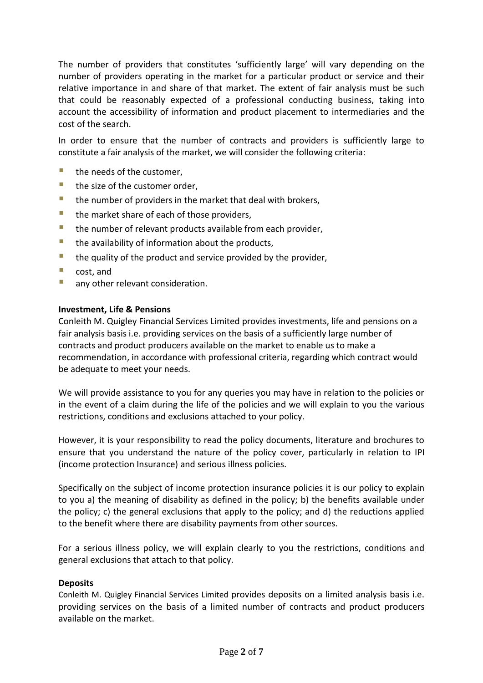The number of providers that constitutes 'sufficiently large' will vary depending on the number of providers operating in the market for a particular product or service and their relative importance in and share of that market. The extent of fair analysis must be such that could be reasonably expected of a professional conducting business, taking into account the accessibility of information and product placement to intermediaries and the cost of the search.

In order to ensure that the number of contracts and providers is sufficiently large to constitute a fair analysis of the market, we will consider the following criteria:

- $\blacksquare$  the needs of the customer,
- the size of the customer order,
- $\blacksquare$  the number of providers in the market that deal with brokers,
- $\blacksquare$  the market share of each of those providers,
- $\blacksquare$  the number of relevant products available from each provider,
- the availability of information about the products,
- $\blacksquare$  the quality of the product and service provided by the provider,
- cost, and
- **E** any other relevant consideration.

### **Investment, Life & Pensions**

Conleith M. Quigley Financial Services Limited provides investments, life and pensions on a fair analysis basis i.e. providing services on the basis of a sufficiently large number of contracts and product producers available on the market to enable us to make a recommendation, in accordance with professional criteria, regarding which contract would be adequate to meet your needs.

We will provide assistance to you for any queries you may have in relation to the policies or in the event of a claim during the life of the policies and we will explain to you the various restrictions, conditions and exclusions attached to your policy.

However, it is your responsibility to read the policy documents, literature and brochures to ensure that you understand the nature of the policy cover, particularly in relation to IPI (income protection Insurance) and serious illness policies.

Specifically on the subject of income protection insurance policies it is our policy to explain to you a) the meaning of disability as defined in the policy; b) the benefits available under the policy; c) the general exclusions that apply to the policy; and d) the reductions applied to the benefit where there are disability payments from other sources.

For a serious illness policy, we will explain clearly to you the restrictions, conditions and general exclusions that attach to that policy.

# **Deposits**

Conleith M. Quigley Financial Services Limited provides deposits on a limited analysis basis i.e. providing services on the basis of a limited number of contracts and product producers available on the market.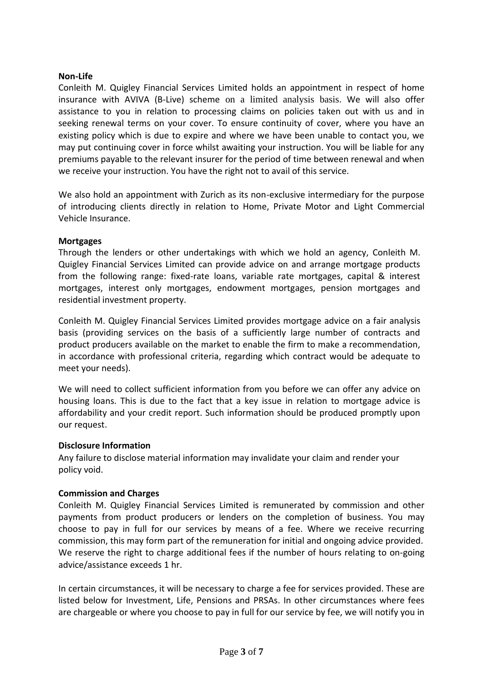# **Non-Life**

Conleith M. Quigley Financial Services Limited holds an appointment in respect of home insurance with AVIVA (B-Live) scheme on a limited analysis basis. We will also offer assistance to you in relation to processing claims on policies taken out with us and in seeking renewal terms on your cover. To ensure continuity of cover, where you have an existing policy which is due to expire and where we have been unable to contact you, we may put continuing cover in force whilst awaiting your instruction. You will be liable for any premiums payable to the relevant insurer for the period of time between renewal and when we receive your instruction. You have the right not to avail of this service.

We also hold an appointment with Zurich as its non-exclusive intermediary for the purpose of introducing clients directly in relation to Home, Private Motor and Light Commercial Vehicle Insurance.

# **Mortgages**

Through the lenders or other undertakings with which we hold an agency, Conleith M. Quigley Financial Services Limited can provide advice on and arrange mortgage products from the following range: fixed-rate loans, variable rate mortgages, capital & interest mortgages, interest only mortgages, endowment mortgages, pension mortgages and residential investment property.

Conleith M. Quigley Financial Services Limited provides mortgage advice on a fair analysis basis (providing services on the basis of a sufficiently large number of contracts and product producers available on the market to enable the firm to make a recommendation, in accordance with professional criteria, regarding which contract would be adequate to meet your needs).

We will need to collect sufficient information from you before we can offer any advice on housing loans. This is due to the fact that a key issue in relation to mortgage advice is affordability and your credit report. Such information should be produced promptly upon our request.

# **Disclosure Information**

Any failure to disclose material information may invalidate your claim and render your policy void.

# **Commission and Charges**

Conleith M. Quigley Financial Services Limited is remunerated by commission and other payments from product producers or lenders on the completion of business. You may choose to pay in full for our services by means of a fee. Where we receive recurring commission, this may form part of the remuneration for initial and ongoing advice provided. We reserve the right to charge additional fees if the number of hours relating to on-going advice/assistance exceeds 1 hr.

In certain circumstances, it will be necessary to charge a fee for services provided. These are listed below for Investment, Life, Pensions and PRSAs. In other circumstances where fees are chargeable or where you choose to pay in full for our service by fee, we will notify you in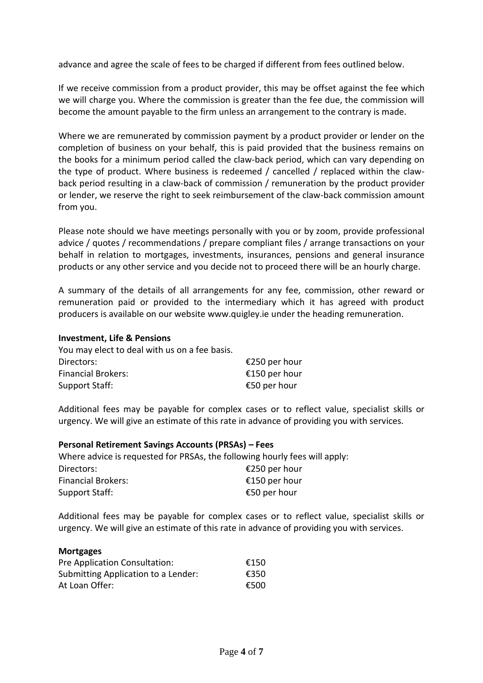advance and agree the scale of fees to be charged if different from fees outlined below.

If we receive commission from a product provider, this may be offset against the fee which we will charge you. Where the commission is greater than the fee due, the commission will become the amount payable to the firm unless an arrangement to the contrary is made.

Where we are remunerated by commission payment by a product provider or lender on the completion of business on your behalf, this is paid provided that the business remains on the books for a minimum period called the claw-back period, which can vary depending on the type of product. Where business is redeemed / cancelled / replaced within the clawback period resulting in a claw-back of commission / remuneration by the product provider or lender, we reserve the right to seek reimbursement of the claw-back commission amount from you.

Please note should we have meetings personally with you or by zoom, provide professional advice / quotes / recommendations / prepare compliant files / arrange transactions on your behalf in relation to mortgages, investments, insurances, pensions and general insurance products or any other service and you decide not to proceed there will be an hourly charge.

A summary of the details of all arrangements for any fee, commission, other reward or remuneration paid or provided to the intermediary which it has agreed with product producers is available on our website www.quigley.ie under the heading remuneration.

### **Investment, Life & Pensions**

| You may elect to deal with us on a fee basis. |               |
|-----------------------------------------------|---------------|
| Directors:                                    | €250 per hour |
| <b>Financial Brokers:</b>                     | €150 per hour |
| Support Staff:                                | €50 per hour  |

Additional fees may be payable for complex cases or to reflect value, specialist skills or urgency. We will give an estimate of this rate in advance of providing you with services.

| <b>Personal Retirement Savings Accounts (PRSAs) - Fees</b> |                                                                            |  |
|------------------------------------------------------------|----------------------------------------------------------------------------|--|
|                                                            | Where advice is requested for PRSAs, the following hourly fees will apply: |  |
| Directors:                                                 | €250 per hour                                                              |  |
| <b>Financial Brokers:</b>                                  | €150 per hour                                                              |  |
| Support Staff:                                             | €50 per hour                                                               |  |

Additional fees may be payable for complex cases or to reflect value, specialist skills or urgency. We will give an estimate of this rate in advance of providing you with services.

#### **Mortgages**

| Pre Application Consultation:       | €150 |
|-------------------------------------|------|
| Submitting Application to a Lender: | €350 |
| At Loan Offer:                      | €500 |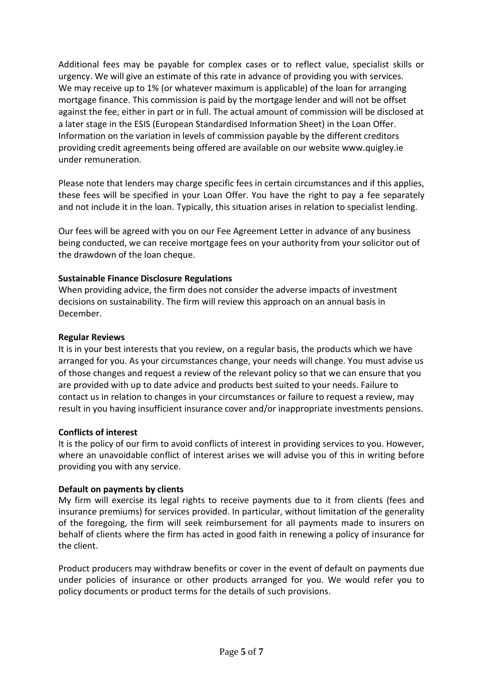Additional fees may be payable for complex cases or to reflect value, specialist skills or urgency. We will give an estimate of this rate in advance of providing you with services. We may receive up to 1% (or whatever maximum is applicable) of the loan for arranging mortgage finance. This commission is paid by the mortgage lender and will not be offset against the fee, either in part or in full. The actual amount of commission will be disclosed at a later stage in the ESIS (European Standardised Information Sheet) in the Loan Offer. Information on the variation in levels of commission payable by the different creditors providing credit agreements being offered are available on our website www.quigley.ie under remuneration.

Please note that lenders may charge specific fees in certain circumstances and if this applies, these fees will be specified in your Loan Offer. You have the right to pay a fee separately and not include it in the loan. Typically, this situation arises in relation to specialist lending.

Our fees will be agreed with you on our Fee Agreement Letter in advance of any business being conducted, we can receive mortgage fees on your authority from your solicitor out of the drawdown of the loan cheque.

# **Sustainable Finance Disclosure Regulations**

When providing advice, the firm does not consider the adverse impacts of investment decisions on sustainability. The firm will review this approach on an annual basis in December.

# **Regular Reviews**

It is in your best interests that you review, on a regular basis, the products which we have arranged for you. As your circumstances change, your needs will change. You must advise us of those changes and request a review of the relevant policy so that we can ensure that you are provided with up to date advice and products best suited to your needs. Failure to contact us in relation to changes in your circumstances or failure to request a review, may result in you having insufficient insurance cover and/or inappropriate investments pensions.

# **Conflicts of interest**

It is the policy of our firm to avoid conflicts of interest in providing services to you. However, where an unavoidable conflict of interest arises we will advise you of this in writing before providing you with any service.

# **Default on payments by clients**

My firm will exercise its legal rights to receive payments due to it from clients (fees and insurance premiums) for services provided. In particular, without limitation of the generality of the foregoing, the firm will seek reimbursement for all payments made to insurers on behalf of clients where the firm has acted in good faith in renewing a policy of insurance for the client.

Product producers may withdraw benefits or cover in the event of default on payments due under policies of insurance or other products arranged for you. We would refer you to policy documents or product terms for the details of such provisions.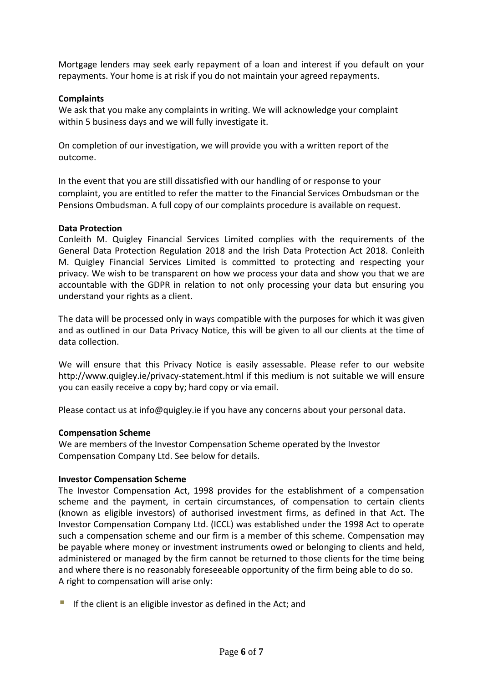Mortgage lenders may seek early repayment of a loan and interest if you default on your repayments. Your home is at risk if you do not maintain your agreed repayments.

# **Complaints**

We ask that you make any complaints in writing. We will acknowledge your complaint within 5 business days and we will fully investigate it.

On completion of our investigation, we will provide you with a written report of the outcome.

In the event that you are still dissatisfied with our handling of or response to your complaint, you are entitled to refer the matter to the Financial Services Ombudsman or the Pensions Ombudsman. A full copy of our complaints procedure is available on request.

# **Data Protection**

Conleith M. Quigley Financial Services Limited complies with the requirements of the General Data Protection Regulation 2018 and the Irish Data Protection Act 2018. Conleith M. Quigley Financial Services Limited is committed to protecting and respecting your privacy. We wish to be transparent on how we process your data and show you that we are accountable with the GDPR in relation to not only processing your data but ensuring you understand your rights as a client.

The data will be processed only in ways compatible with the purposes for which it was given and as outlined in our Data Privacy Notice, this will be given to all our clients at the time of data collection.

We will ensure that this Privacy Notice is easily assessable. Please refer to our website http://www.quigley.ie/privacy-statement.html if this medium is not suitable we will ensure you can easily receive a copy by; hard copy or via email.

Please contact us at [info@quigley.ie](mailto:info@quigley.ie) if you have any concerns about your personal data.

# **Compensation Scheme**

We are members of the Investor Compensation Scheme operated by the Investor Compensation Company Ltd. See below for details.

# **Investor Compensation Scheme**

The Investor Compensation Act, 1998 provides for the establishment of a compensation scheme and the payment, in certain circumstances, of compensation to certain clients (known as eligible investors) of authorised investment firms, as defined in that Act. The Investor Compensation Company Ltd. (ICCL) was established under the 1998 Act to operate such a compensation scheme and our firm is a member of this scheme. Compensation may be payable where money or investment instruments owed or belonging to clients and held, administered or managed by the firm cannot be returned to those clients for the time being and where there is no reasonably foreseeable opportunity of the firm being able to do so. A right to compensation will arise only:

 $\blacksquare$  If the client is an eligible investor as defined in the Act; and